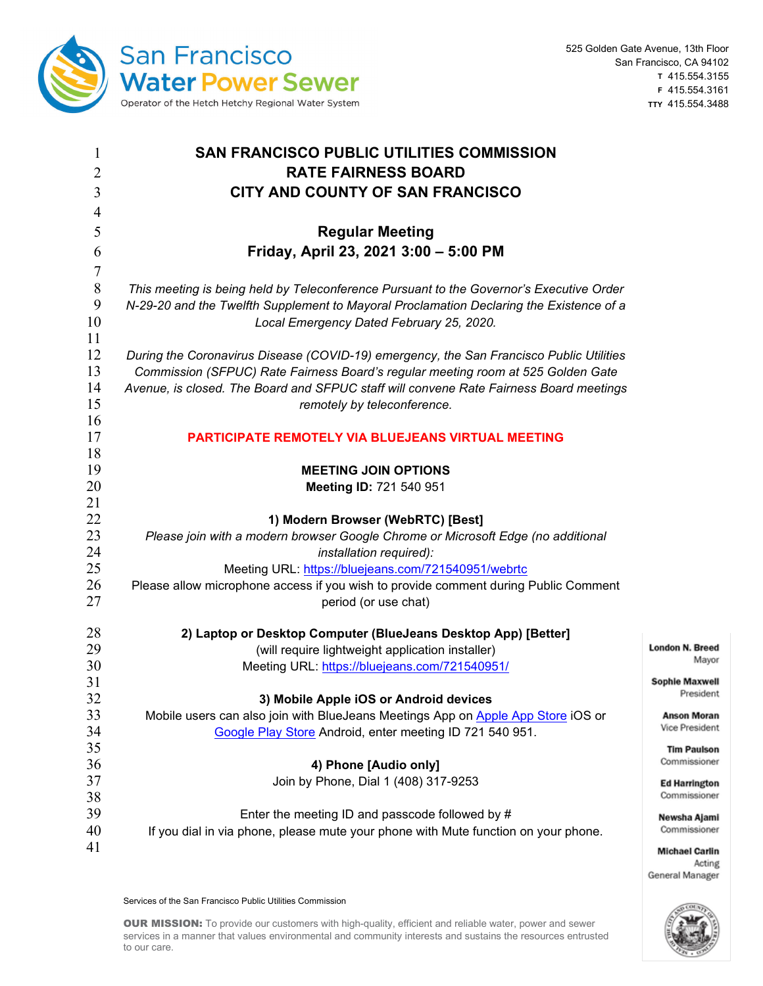

General Manager

| $\mathbf{1}$<br>$\overline{2}$ | <b>SAN FRANCISCO PUBLIC UTILITIES COMMISSION</b><br><b>RATE FAIRNESS BOARD</b>                                                        |                                      |
|--------------------------------|---------------------------------------------------------------------------------------------------------------------------------------|--------------------------------------|
| 3                              | CITY AND COUNTY OF SAN FRANCISCO                                                                                                      |                                      |
| 4                              |                                                                                                                                       |                                      |
| 5                              | <b>Regular Meeting</b>                                                                                                                |                                      |
| 6                              | Friday, April 23, 2021 3:00 - 5:00 PM                                                                                                 |                                      |
| $\overline{7}$                 |                                                                                                                                       |                                      |
| $\, 8$                         | This meeting is being held by Teleconference Pursuant to the Governor's Executive Order                                               |                                      |
| 9                              | N-29-20 and the Twelfth Supplement to Mayoral Proclamation Declaring the Existence of a                                               |                                      |
| 10                             | Local Emergency Dated February 25, 2020.                                                                                              |                                      |
| 11                             |                                                                                                                                       |                                      |
| 12                             | During the Coronavirus Disease (COVID-19) emergency, the San Francisco Public Utilities                                               |                                      |
| 13                             | Commission (SFPUC) Rate Fairness Board's regular meeting room at 525 Golden Gate                                                      |                                      |
| 14                             | Avenue, is closed. The Board and SFPUC staff will convene Rate Fairness Board meetings                                                |                                      |
| 15                             | remotely by teleconference.                                                                                                           |                                      |
| 16                             |                                                                                                                                       |                                      |
| 17<br>18                       | PARTICIPATE REMOTELY VIA BLUEJEANS VIRTUAL MEETING                                                                                    |                                      |
| 19                             | <b>MEETING JOIN OPTIONS</b>                                                                                                           |                                      |
| 20                             | Meeting ID: 721 540 951                                                                                                               |                                      |
| 21                             |                                                                                                                                       |                                      |
| 22                             | 1) Modern Browser (WebRTC) [Best]                                                                                                     |                                      |
| 23                             | Please join with a modern browser Google Chrome or Microsoft Edge (no additional                                                      |                                      |
| 24                             | installation required):                                                                                                               |                                      |
| 25                             | Meeting URL: https://bluejeans.com/721540951/webrtc                                                                                   |                                      |
| 26                             | Please allow microphone access if you wish to provide comment during Public Comment                                                   |                                      |
| 27                             | period (or use chat)                                                                                                                  |                                      |
| 28                             | 2) Laptop or Desktop Computer (BlueJeans Desktop App) [Better]                                                                        |                                      |
| 29                             | (will require lightweight application installer)                                                                                      | London N. Breed                      |
| 30                             | Meeting URL: https://bluejeans.com/721540951/                                                                                         | Mayor                                |
| 31                             |                                                                                                                                       | <b>Sophie Maxwell</b>                |
| 32                             | 3) Mobile Apple iOS or Android devices                                                                                                | President                            |
| 33                             | Mobile users can also join with BlueJeans Meetings App on Apple App Store iOS or                                                      | <b>Anson Moran</b>                   |
| 34                             | Google Play Store Android, enter meeting ID 721 540 951.                                                                              | Vice President                       |
| 35                             |                                                                                                                                       | <b>Tim Paulson</b>                   |
| 36                             | 4) Phone [Audio only]                                                                                                                 | Commissioner                         |
| 37                             | Join by Phone, Dial 1 (408) 317-9253                                                                                                  | <b>Ed Harrington</b><br>Commissioner |
| 38                             |                                                                                                                                       |                                      |
| 39<br>40                       | Enter the meeting ID and passcode followed by #<br>If you dial in via phone, please mute your phone with Mute function on your phone. | Newsha Ajami<br>Commissioner         |
| 41                             |                                                                                                                                       |                                      |
|                                |                                                                                                                                       | <b>Michael Carlin</b><br>Acting      |

Services of the San Francisco Public Utilities Commission

OUR MISSION: To provide our customers with high-quality, efficient and reliable water, power and sewer services in a manner that values environmental and community interests and sustains the resources entrusted to our care.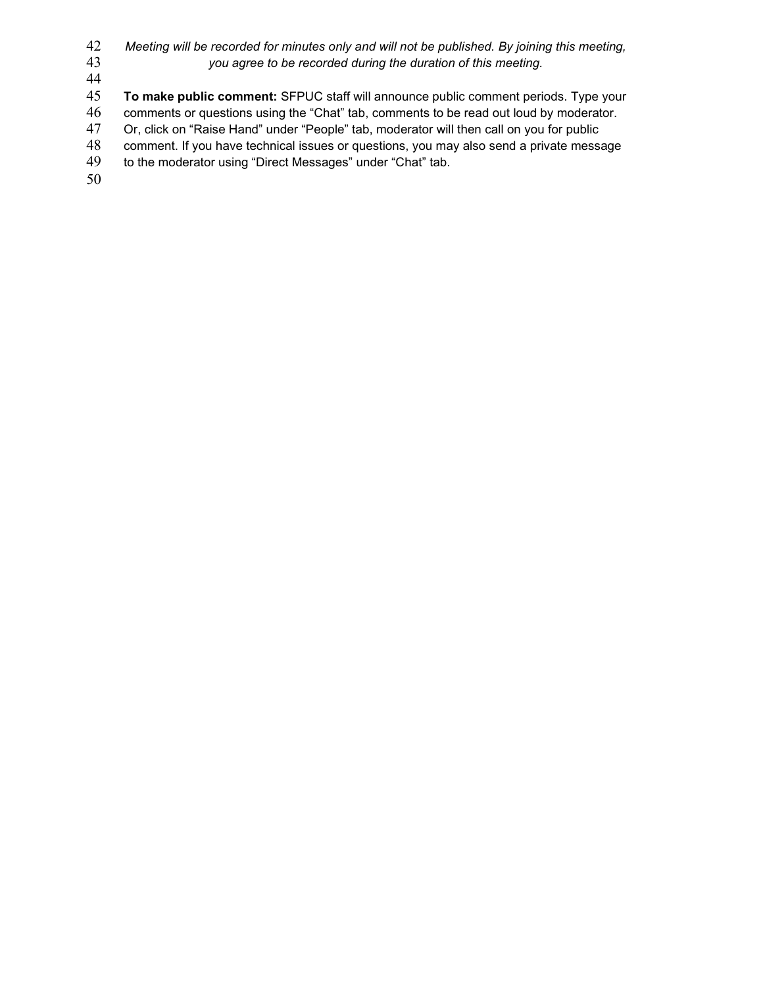- *Meeting will be recorded for minutes only and will not be published. By joining this meeting, you agree to be recorded during the duration of this meeting.*
- 

**To make public comment:** SFPUC staff will announce public comment periods. Type your

comments or questions using the "Chat" tab, comments to be read out loud by moderator.

Or, click on "Raise Hand" under "People" tab, moderator will then call on you for public

comment. If you have technical issues or questions, you may also send a private message

49 to the moderator using "Direct Messages" under "Chat" tab.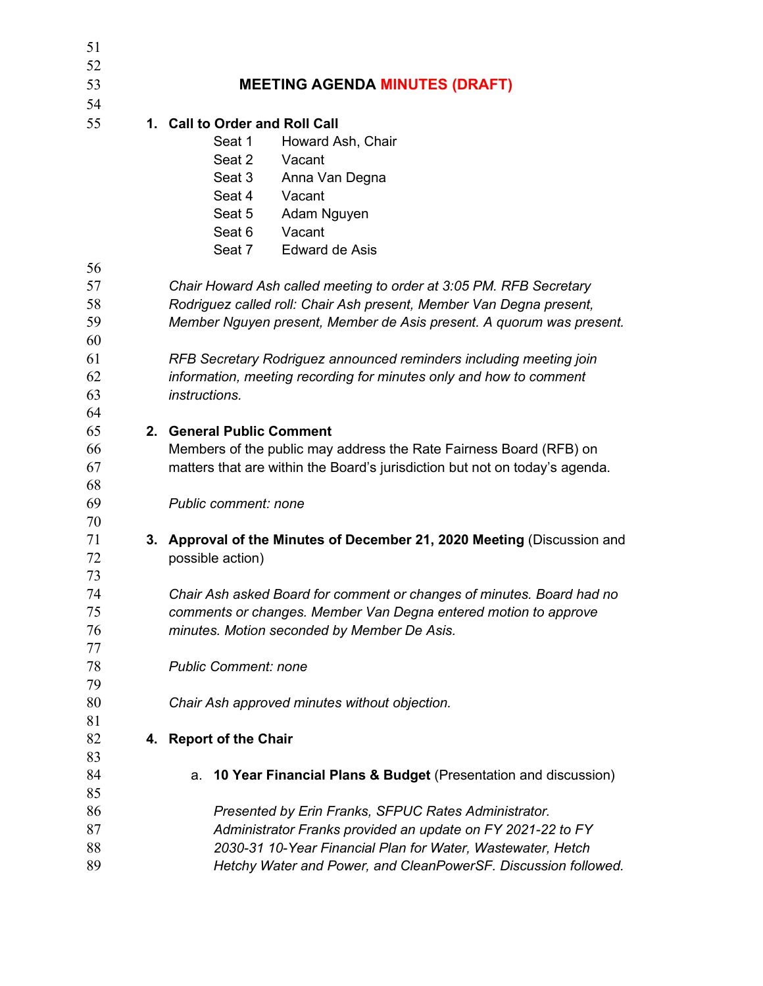| 51 |                                |                                                                             |  |  |
|----|--------------------------------|-----------------------------------------------------------------------------|--|--|
| 52 |                                |                                                                             |  |  |
| 53 |                                | <b>MEETING AGENDA MINUTES (DRAFT)</b>                                       |  |  |
| 54 |                                |                                                                             |  |  |
| 55 | 1. Call to Order and Roll Call |                                                                             |  |  |
|    |                                | Seat 1<br>Howard Ash, Chair                                                 |  |  |
|    |                                | Seat 2<br>Vacant                                                            |  |  |
|    |                                | Seat 3<br>Anna Van Degna                                                    |  |  |
|    |                                | Seat 4 Vacant                                                               |  |  |
|    |                                | Adam Nguyen<br>Seat 5                                                       |  |  |
|    |                                | Seat 6<br>Vacant                                                            |  |  |
|    |                                | Seat 7<br><b>Edward de Asis</b>                                             |  |  |
| 56 |                                |                                                                             |  |  |
| 57 |                                | Chair Howard Ash called meeting to order at 3:05 PM. RFB Secretary          |  |  |
| 58 |                                | Rodriguez called roll: Chair Ash present, Member Van Degna present,         |  |  |
| 59 |                                | Member Nguyen present, Member de Asis present. A quorum was present.        |  |  |
| 60 |                                |                                                                             |  |  |
| 61 |                                | RFB Secretary Rodriguez announced reminders including meeting join          |  |  |
| 62 |                                | information, meeting recording for minutes only and how to comment          |  |  |
| 63 |                                | instructions.                                                               |  |  |
| 64 |                                |                                                                             |  |  |
| 65 |                                | 2. General Public Comment                                                   |  |  |
| 66 |                                | Members of the public may address the Rate Fairness Board (RFB) on          |  |  |
| 67 |                                | matters that are within the Board's jurisdiction but not on today's agenda. |  |  |
| 68 |                                |                                                                             |  |  |
| 69 |                                | Public comment: none                                                        |  |  |
| 70 |                                |                                                                             |  |  |
| 71 |                                | 3. Approval of the Minutes of December 21, 2020 Meeting (Discussion and     |  |  |
| 72 |                                | possible action)                                                            |  |  |
| 73 |                                |                                                                             |  |  |
| 74 |                                | Chair Ash asked Board for comment or changes of minutes. Board had no       |  |  |
| 75 |                                | comments or changes. Member Van Degna entered motion to approve             |  |  |
| 76 |                                | minutes. Motion seconded by Member De Asis.                                 |  |  |
| 77 |                                |                                                                             |  |  |
| 78 |                                | <b>Public Comment: none</b>                                                 |  |  |
| 79 |                                |                                                                             |  |  |
| 80 |                                | Chair Ash approved minutes without objection.                               |  |  |
| 81 |                                |                                                                             |  |  |
| 82 | 4.                             | <b>Report of the Chair</b>                                                  |  |  |
| 83 |                                |                                                                             |  |  |
| 84 |                                | 10 Year Financial Plans & Budget (Presentation and discussion)<br>a.        |  |  |
| 85 |                                |                                                                             |  |  |
| 86 |                                | Presented by Erin Franks, SFPUC Rates Administrator.                        |  |  |
| 87 |                                | Administrator Franks provided an update on FY 2021-22 to FY                 |  |  |
| 88 |                                | 2030-31 10-Year Financial Plan for Water, Wastewater, Hetch                 |  |  |
| 89 |                                | Hetchy Water and Power, and CleanPowerSF. Discussion followed.              |  |  |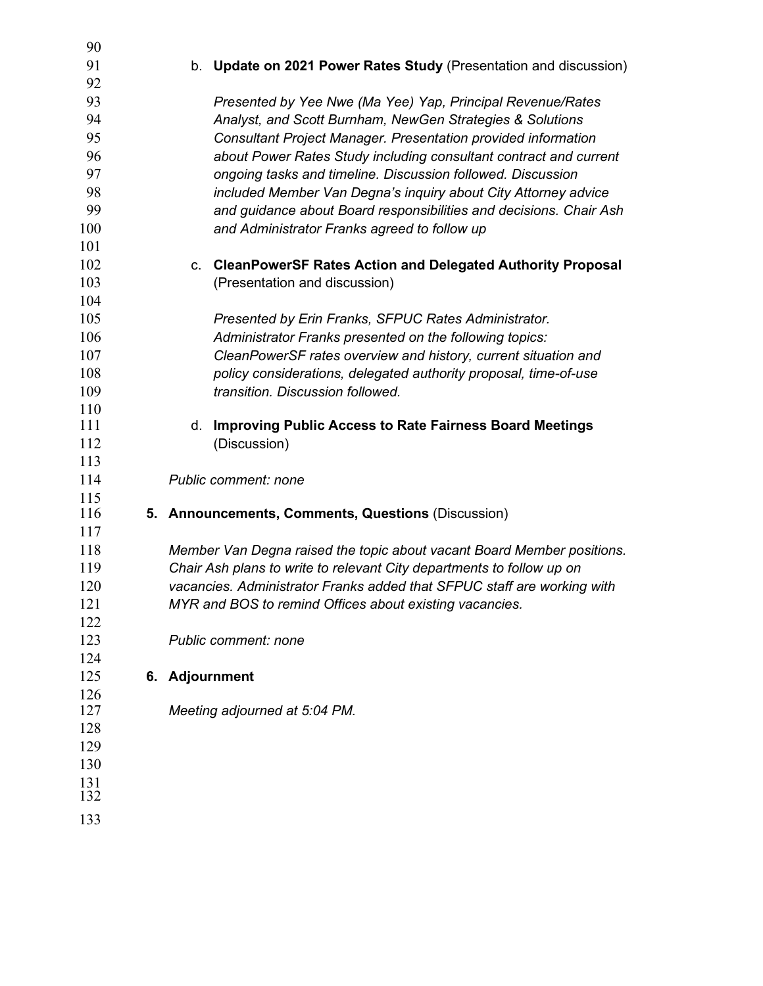| 90         |                                                                         |
|------------|-------------------------------------------------------------------------|
| 91         | b. Update on 2021 Power Rates Study (Presentation and discussion)       |
| 92         |                                                                         |
| 93         | Presented by Yee Nwe (Ma Yee) Yap, Principal Revenue/Rates              |
| 94         | Analyst, and Scott Burnham, NewGen Strategies & Solutions               |
| 95         | <b>Consultant Project Manager. Presentation provided information</b>    |
| 96         | about Power Rates Study including consultant contract and current       |
| 97         | ongoing tasks and timeline. Discussion followed. Discussion             |
| 98         | included Member Van Degna's inquiry about City Attorney advice          |
| 99         | and guidance about Board responsibilities and decisions. Chair Ash      |
| 100        | and Administrator Franks agreed to follow up                            |
| 101        |                                                                         |
| 102        | c. CleanPowerSF Rates Action and Delegated Authority Proposal           |
| 103        | (Presentation and discussion)                                           |
| 104        |                                                                         |
| 105        | Presented by Erin Franks, SFPUC Rates Administrator.                    |
| 106        | Administrator Franks presented on the following topics:                 |
| 107        | CleanPowerSF rates overview and history, current situation and          |
| 108        | policy considerations, delegated authority proposal, time-of-use        |
| 109        | transition. Discussion followed.                                        |
| 110        |                                                                         |
| 111        | <b>Improving Public Access to Rate Fairness Board Meetings</b><br>d.    |
| 112        | (Discussion)                                                            |
| 113        |                                                                         |
| 114        | <b>Public comment: none</b>                                             |
| 115        |                                                                         |
| 116        | 5. Announcements, Comments, Questions (Discussion)                      |
| 117        |                                                                         |
| 118        | Member Van Degna raised the topic about vacant Board Member positions.  |
| 119        | Chair Ash plans to write to relevant City departments to follow up on   |
| 120        | vacancies. Administrator Franks added that SFPUC staff are working with |
| 121        | MYR and BOS to remind Offices about existing vacancies.                 |
| 122        |                                                                         |
| 123        | Public comment: none                                                    |
| 124        |                                                                         |
| 125        | 6. Adjournment                                                          |
| 126<br>127 | Meeting adjourned at 5:04 PM.                                           |
| 128        |                                                                         |
| 129        |                                                                         |
| 130        |                                                                         |
| 131        |                                                                         |
| 132        |                                                                         |
| 133        |                                                                         |
|            |                                                                         |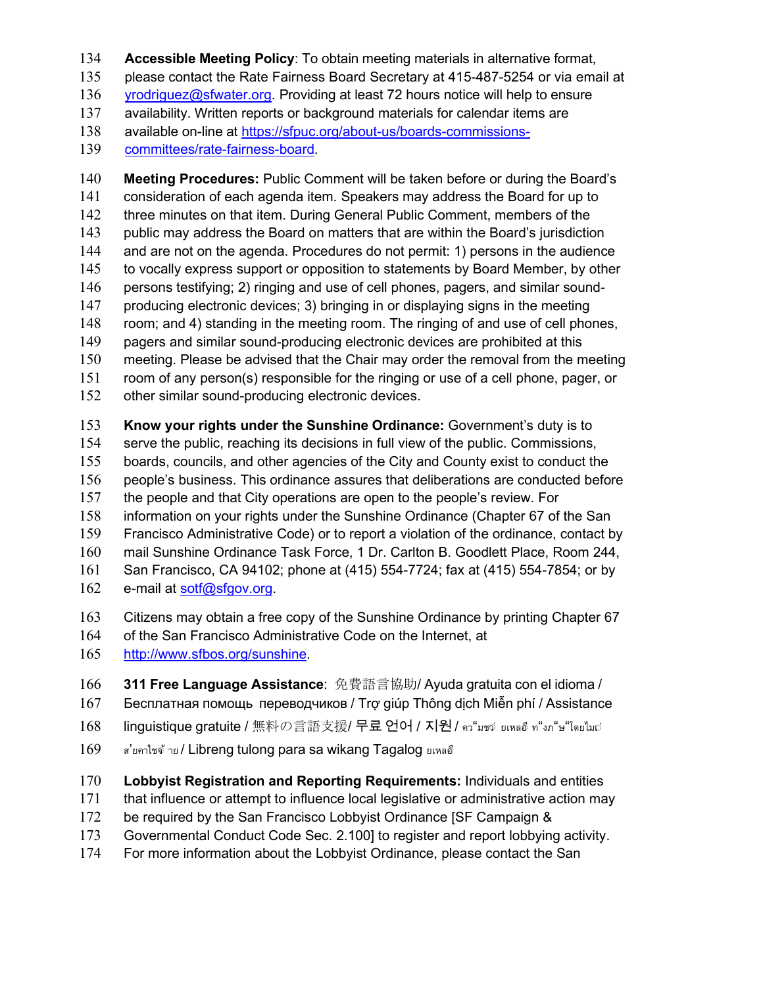**Accessible Meeting Policy**: To obtain meeting materials in alternative format,

please contact the Rate Fairness Board Secretary at 415-487-5254 or via email at

[yrodriguez@sfwater.org.](mailto:yrodriguez@sfwater.org) Providing at least 72 hours notice will help to ensure

availability. Written reports or background materials for calendar items are

available on-line at [https://sfpuc.org/about-us/boards-commissions-](https://sfpuc.org/about-us/boards-commissions-committees/rate-fairness-board)

[committees/rate-fairness-board.](https://sfpuc.org/about-us/boards-commissions-committees/rate-fairness-board)

 **Meeting Procedures:** Public Comment will be taken before or during the Board's consideration of each agenda item. Speakers may address the Board for up to three minutes on that item. During General Public Comment, members of the public may address the Board on matters that are within the Board's jurisdiction and are not on the agenda. Procedures do not permit: 1) persons in the audience to vocally express support or opposition to statements by Board Member, by other persons testifying; 2) ringing and use of cell phones, pagers, and similar sound- producing electronic devices; 3) bringing in or displaying signs in the meeting room; and 4) standing in the meeting room. The ringing of and use of cell phones, 149 pagers and similar sound-producing electronic devices are prohibited at this meeting. Please be advised that the Chair may order the removal from the meeting room of any person(s) responsible for the ringing or use of a cell phone, pager, or other similar sound-producing electronic devices. **Know your rights under the Sunshine Ordinance:** Government's duty is to serve the public, reaching its decisions in full view of the public. Commissions,

boards, councils, and other agencies of the City and County exist to conduct the

people's business. This ordinance assures that deliberations are conducted before

the people and that City operations are open to the people's review. For

information on your rights under the Sunshine Ordinance (Chapter 67 of the San

Francisco Administrative Code) or to report a violation of the ordinance, contact by

mail Sunshine Ordinance Task Force, 1 Dr. Carlton B. Goodlett Place, Room 244,

San Francisco, CA 94102; phone at (415) 554-7724; fax at (415) 554-7854; or by

e-mail at [sotf@sfgov.org.](mailto:sotf@sfgov.org)

Citizens may obtain a free copy of the Sunshine Ordinance by printing Chapter 67

of the San Francisco Administrative Code on the Internet, at

[http://www.sfbos.org/sunshine.](http://www.sfbos.org/sunshine)

**311 Free Language Assistance**: 免費語言協助/ Ayuda gratuita con el idioma /

- Бесплатная помощь переводчиков / Trợ giúp Thông dịch Miễn phí / Assistance
- linguistique gratuite / 無料の言語支援/ 무료 언어 / 지원 / คว"มชจ่ ยเหลอึ ท"งภ"ษ"โดยไมฝ่
- ส'ยคาไซจ้าย / Libreng tulong para sa wikang Tagalog ยเหลอื

**Lobbyist Registration and Reporting Requirements:** Individuals and entities

that influence or attempt to influence local legislative or administrative action may

- 172 be required by the San Francisco Lobbyist Ordinance [SF Campaign &
- Governmental Conduct Code Sec. 2.100] to register and report lobbying activity.
- For more information about the Lobbyist Ordinance, please contact the San